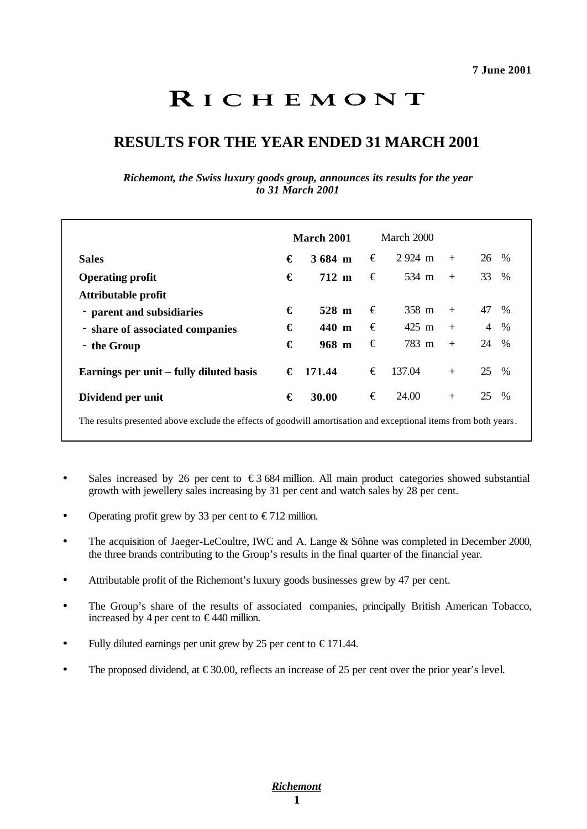# **RESULTS FOR THE YEAR ENDED 31 MARCH 2001**

*Richemont, the Swiss luxury goods group, announces its results for the year to 31 March 2001*

|                                                                                                                 |   | March 2001 |   | March 2000       |     |    |      |
|-----------------------------------------------------------------------------------------------------------------|---|------------|---|------------------|-----|----|------|
| <b>Sales</b>                                                                                                    | € | 3684 m     | € | $2924 \text{ m}$ | $+$ | 26 | $\%$ |
| <b>Operating profit</b>                                                                                         | € | 712 m      | € | 534 m            | $+$ | 33 | %    |
| Attributable profit                                                                                             |   |            |   |                  |     |    |      |
| - parent and subsidiaries                                                                                       | € | 528 m      | € | 358 m            | $+$ | 47 | $\%$ |
| - share of associated companies                                                                                 | € | 440 m      | € | 425 m            | $+$ | 4  | $\%$ |
| - the Group                                                                                                     | € | 968 m      | € | 783 m            | $+$ | 24 | $\%$ |
| Earnings per unit – fully diluted basis                                                                         | € | 171.44     | € | 137.04           | $+$ | 25 | $\%$ |
| Dividend per unit                                                                                               | € | 30.00      | € | 24.00            | $+$ | 25 | %    |
| The results presented above exclude the effects of goodwill amortisation and exceptional items from both years. |   |            |   |                  |     |    |      |

- Sales increased by 26 per cent to  $\epsilon$ 3 684 million. All main product categories showed substantial growth with jewellery sales increasing by 31 per cent and watch sales by 28 per cent.
- Operating profit grew by 33 per cent to  $\epsilon$  712 million.
- The acquisition of Jaeger-LeCoultre, IWC and A. Lange & Söhne was completed in December 2000, the three brands contributing to the Group's results in the final quarter of the financial year.
- Attributable profit of the Richemont's luxury goods businesses grew by 47 per cent.
- The Group's share of the results of associated companies, principally British American Tobacco, increased by 4 per cent to  $\in$ 440 million.
- Fully diluted earnings per unit grew by 25 per cent to  $\epsilon$ 171.44.
- The proposed dividend, at  $\epsilon$ 30.00, reflects an increase of 25 per cent over the prior year's level.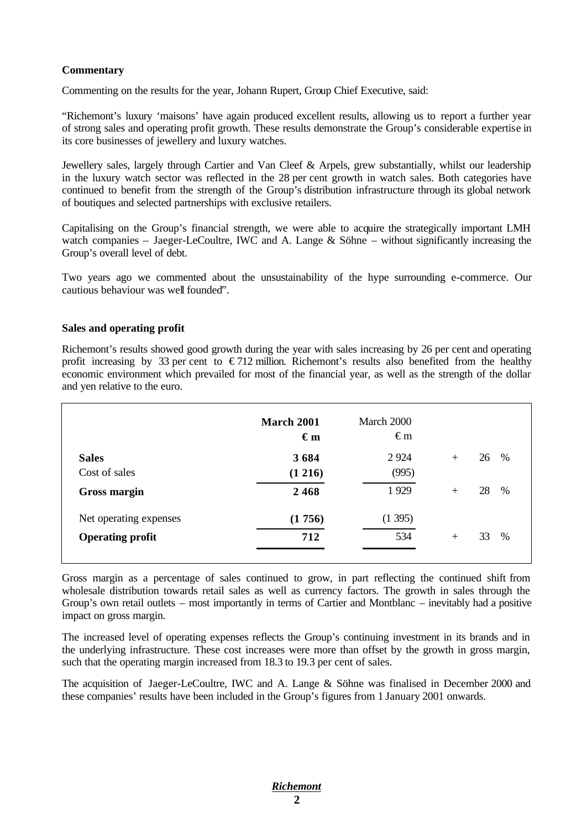# **Commentary**

Commenting on the results for the year, Johann Rupert, Group Chief Executive, said:

"Richemont's luxury 'maisons' have again produced excellent results, allowing us to report a further year of strong sales and operating profit growth. These results demonstrate the Group's considerable expertise in its core businesses of jewellery and luxury watches.

Jewellery sales, largely through Cartier and Van Cleef & Arpels, grew substantially, whilst our leadership in the luxury watch sector was reflected in the 28 per cent growth in watch sales. Both categories have continued to benefit from the strength of the Group's distribution infrastructure through its global network of boutiques and selected partnerships with exclusive retailers.

Capitalising on the Group's financial strength, we were able to acquire the strategically important LMH watch companies – Jaeger-LeCoultre, IWC and A. Lange  $\&$  Söhne – without significantly increasing the Group's overall level of debt.

Two years ago we commented about the unsustainability of the hype surrounding e-commerce. Our cautious behaviour was well founded".

## **Sales and operating profit**

Richemont's results showed good growth during the year with sales increasing by 26 per cent and operating profit increasing by 33 per cent to  $\epsilon$ 712 million. Richemont's results also benefited from the healthy economic environment which prevailed for most of the financial year, as well as the strength of the dollar and yen relative to the euro.

|                         | March 2001<br>$\epsilon_{m}$ | March 2000<br>$\epsilon$ m |     |    |      |
|-------------------------|------------------------------|----------------------------|-----|----|------|
| <b>Sales</b>            | 3684                         | 2 9 2 4                    | $+$ | 26 | %    |
| Cost of sales           | (1 216)                      | (995)                      |     |    |      |
| <b>Gross margin</b>     | 2468                         | 1929                       | $+$ | 28 | $\%$ |
| Net operating expenses  | (1756)                       | (1395)                     |     |    |      |
| <b>Operating profit</b> | 712                          | 534                        | $+$ | 33 | %    |

Gross margin as a percentage of sales continued to grow, in part reflecting the continued shift from wholesale distribution towards retail sales as well as currency factors. The growth in sales through the Group's own retail outlets – most importantly in terms of Cartier and Montblanc – inevitably had a positive impact on gross margin.

The increased level of operating expenses reflects the Group's continuing investment in its brands and in the underlying infrastructure. These cost increases were more than offset by the growth in gross margin, such that the operating margin increased from 18.3 to 19.3 per cent of sales.

The acquisition of Jaeger-LeCoultre, IWC and A. Lange & Söhne was finalised in December 2000 and these companies' results have been included in the Group's figures from 1 January 2001 onwards.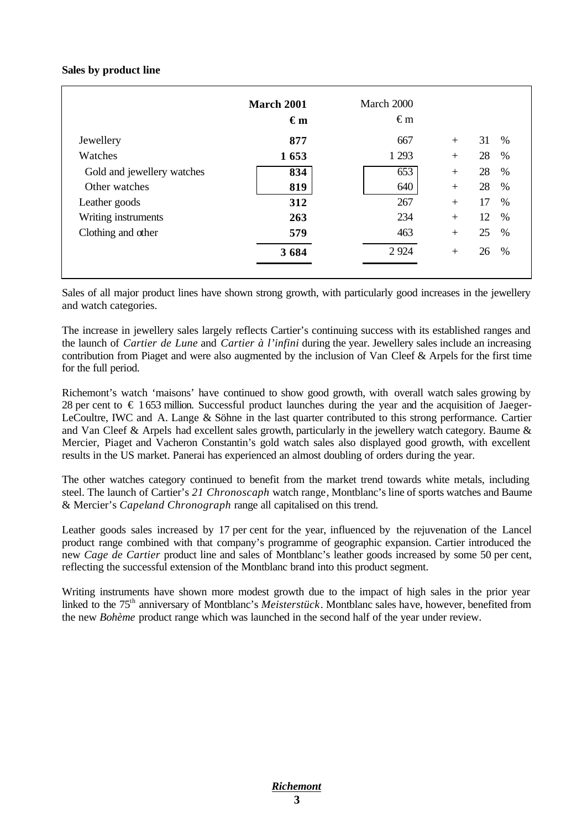## **Sales by product line**

|                            | <b>March 2001</b><br>$\epsilon_{\rm m}$ | March 2000<br>$\epsilon$ m |     |    |      |
|----------------------------|-----------------------------------------|----------------------------|-----|----|------|
| Jewellery                  | 877                                     | 667                        | $+$ | 31 | %    |
| Watches                    | 1653                                    | 1 2 9 3                    | $+$ | 28 | %    |
| Gold and jewellery watches | 834                                     | 653                        | $+$ | 28 | %    |
| Other watches              | 819                                     | 640                        | $+$ | 28 | $\%$ |
| Leather goods              | 312                                     | 267                        | $+$ | 17 | $\%$ |
| Writing instruments        | 263                                     | 234                        | $+$ | 12 | $\%$ |
| Clothing and other         | 579                                     | 463                        | $+$ | 25 | %    |
|                            | 3684                                    | 2924                       | $+$ | 26 | $\%$ |

Sales of all major product lines have shown strong growth, with particularly good increases in the jewellery and watch categories.

The increase in jewellery sales largely reflects Cartier's continuing success with its established ranges and the launch of *Cartier de Lune* and *Cartier à l'infini* during the year. Jewellery sales include an increasing contribution from Piaget and were also augmented by the inclusion of Van Cleef & Arpels for the first time for the full period.

Richemont's watch 'maisons' have continued to show good growth, with overall watch sales growing by 28 per cent to  $\epsilon$  1 653 million. Successful product launches during the year and the acquisition of Jaeger-LeCoultre, IWC and A. Lange & Söhne in the last quarter contributed to this strong performance. Cartier and Van Cleef & Arpels had excellent sales growth, particularly in the jewellery watch category. Baume & Mercier, Piaget and Vacheron Constantin's gold watch sales also displayed good growth, with excellent results in the US market. Panerai has experienced an almost doubling of orders during the year.

The other watches category continued to benefit from the market trend towards white metals, including steel. The launch of Cartier's *21 Chronoscaph* watch range, Montblanc's line of sports watches and Baume & Mercier's *Capeland Chronograph* range all capitalised on this trend.

Leather goods sales increased by 17 per cent for the year, influenced by the rejuvenation of the Lancel product range combined with that company's programme of geographic expansion. Cartier introduced the new *Cage de Cartier* product line and sales of Montblanc's leather goods increased by some 50 per cent, reflecting the successful extension of the Montblanc brand into this product segment.

Writing instruments have shown more modest growth due to the impact of high sales in the prior year linked to the 75th anniversary of Montblanc's *Meisterstück*. Montblanc sales have, however, benefited from the new *Bohème* product range which was launched in the second half of the year under review.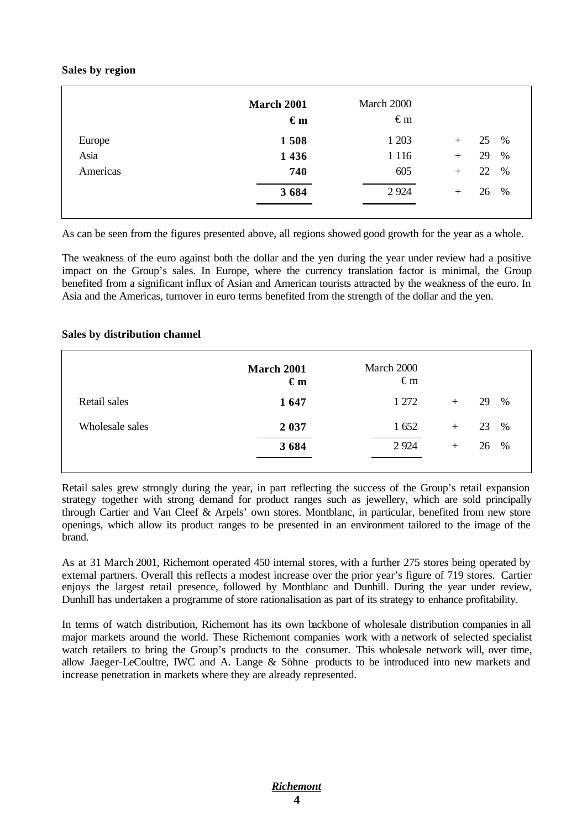## **Sales by region**

|          | <b>March 2001</b><br>$\epsilon$ m | March 2000<br>$\epsilon$ m |                      |
|----------|-----------------------------------|----------------------------|----------------------|
| Europe   | 1508                              | 1 203                      | 25<br>%<br>$^{+}$    |
| Asia     | 1 4 3 6                           | 1 1 1 6                    | %<br>29<br>$+$       |
| Americas | 740                               | 605                        | $\%$<br>22<br>$^{+}$ |
|          | 3684                              | 2 9 2 4                    | %<br>26<br>$+$       |
|          |                                   |                            |                      |

As can be seen from the figures presented above, all regions showed good growth for the year as a whole.

The weakness of the euro against both the dollar and the yen during the year under review had a positive impact on the Group's sales. In Europe, where the currency translation factor is minimal, the Group benefited from a significant influx of Asian and American tourists attracted by the weakness of the euro. In Asia and the Americas, turnover in euro terms benefited from the strength of the dollar and the yen.

#### **Sales by distribution channel**

|                 | <b>March 2001</b><br>$\epsilon_{m}$ | March 2000<br>$\epsilon$ m |     |            |
|-----------------|-------------------------------------|----------------------------|-----|------------|
| Retail sales    | 1647                                | 1 272                      | $+$ | %<br>29    |
| Wholesale sales | 2 0 3 7                             | 1 652                      | $+$ | $\%$<br>23 |
|                 | 3684                                | 2924                       | $+$ | %<br>26    |
|                 |                                     |                            |     |            |

Retail sales grew strongly during the year, in part reflecting the success of the Group's retail expansion strategy together with strong demand for product ranges such as jewellery, which are sold principally through Cartier and Van Cleef & Arpels' own stores. Montblanc, in particular, benefited from new store openings, which allow its product ranges to be presented in an environment tailored to the image of the brand.

As at 31 March 2001, Richemont operated 450 internal stores, with a further 275 stores being operated by external partners. Overall this reflects a modest increase over the prior year's figure of 719 stores. Cartier enjoys the largest retail presence, followed by Montblanc and Dunhill. During the year under review, Dunhill has undertaken a programme of store rationalisation as part of its strategy to enhance profitability.

In terms of watch distribution, Richemont has its own backbone of wholesale distribution companies in all major markets around the world. These Richemont companies work with a network of selected specialist watch retailers to bring the Group's products to the consumer. This wholesale network will, over time, allow Jaeger-LeCoultre, IWC and A. Lange & Söhne products to be introduced into new markets and increase penetration in markets where they are already represented.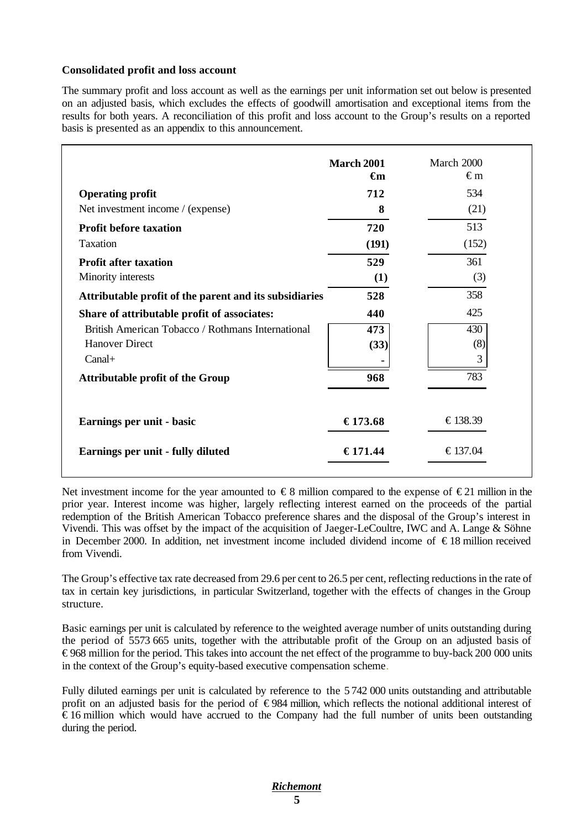# **Consolidated profit and loss account**

The summary profit and loss account as well as the earnings per unit information set out below is presented on an adjusted basis, which excludes the effects of goodwill amortisation and exceptional items from the results for both years. A reconciliation of this profit and loss account to the Group's results on a reported basis is presented as an appendix to this announcement.

|                                                        | <b>March 2001</b><br>€m | March 2000<br>€m |
|--------------------------------------------------------|-------------------------|------------------|
| <b>Operating profit</b>                                | 712                     | 534              |
| Net investment income / (expense)                      | 8                       | (21)             |
| <b>Profit before taxation</b>                          | 720                     | 513              |
| <b>Taxation</b>                                        | (191)                   | (152)            |
| <b>Profit after taxation</b>                           | 529                     | 361              |
| Minority interests                                     | (1)                     | (3)              |
| Attributable profit of the parent and its subsidiaries | 528                     | 358              |
| Share of attributable profit of associates:            | 440                     | 425              |
| British American Tobacco / Rothmans International      | 473                     | 430              |
| <b>Hanover Direct</b>                                  | (33)                    | (8)              |
| $Canal+$                                               |                         | 3                |
| <b>Attributable profit of the Group</b>                | 968                     | 783              |
| Earnings per unit - basic                              | €173.68                 | €138.39          |
| Earnings per unit - fully diluted                      | €171.44                 | €137.04          |

Net investment income for the year amounted to  $\epsilon$ 8 million compared to the expense of  $\epsilon$ 21 million in the prior year. Interest income was higher, largely reflecting interest earned on the proceeds of the partial redemption of the British American Tobacco preference shares and the disposal of the Group's interest in Vivendi. This was offset by the impact of the acquisition of Jaeger-LeCoultre, IWC and A. Lange & Söhne in December 2000. In addition, net investment income included dividend income of € 18 million received from Vivendi.

The Group's effective tax rate decreased from 29.6 per cent to 26.5 per cent, reflecting reductions in the rate of tax in certain key jurisdictions, in particular Switzerland, together with the effects of changes in the Group structure.

Basic earnings per unit is calculated by reference to the weighted average number of units outstanding during the period of 5573 665 units, together with the attributable profit of the Group on an adjusted basis of € 968 million for the period. This takes into account the net effect of the programme to buy-back 200 000 units in the context of the Group's equity-based executive compensation scheme.

Fully diluted earnings per unit is calculated by reference to the 5 742 000 units outstanding and attributable profit on an adjusted basis for the period of €984 million, which reflects the notional additional interest of  $\epsilon$  16 million which would have accrued to the Company had the full number of units been outstanding during the period.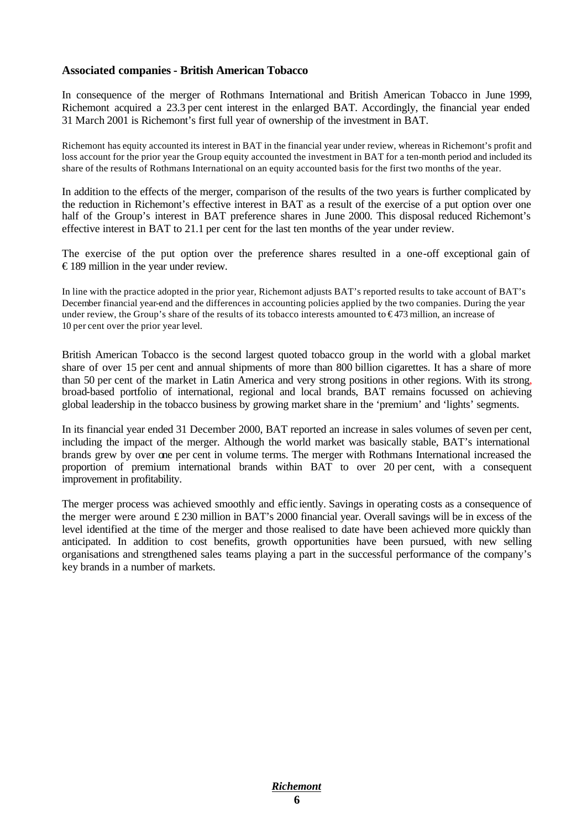# **Associated companies - British American Tobacco**

In consequence of the merger of Rothmans International and British American Tobacco in June 1999, Richemont acquired a 23.3 per cent interest in the enlarged BAT. Accordingly, the financial year ended 31 March 2001 is Richemont's first full year of ownership of the investment in BAT.

Richemont has equity accounted its interest in BAT in the financial year under review, whereas in Richemont's profit and loss account for the prior year the Group equity accounted the investment in BAT for a ten-month period and included its share of the results of Rothmans International on an equity accounted basis for the first two months of the year.

In addition to the effects of the merger, comparison of the results of the two years is further complicated by the reduction in Richemont's effective interest in BAT as a result of the exercise of a put option over one half of the Group's interest in BAT preference shares in June 2000. This disposal reduced Richemont's effective interest in BAT to 21.1 per cent for the last ten months of the year under review.

The exercise of the put option over the preference shares resulted in a one-off exceptional gain of € 189 million in the year under review.

In line with the practice adopted in the prior year, Richemont adjusts BAT's reported results to take account of BAT's December financial year-end and the differences in accounting policies applied by the two companies. During the year under review, the Group's share of the results of its tobacco interests amounted to €473 million, an increase of 10 per cent over the prior year level.

British American Tobacco is the second largest quoted tobacco group in the world with a global market share of over 15 per cent and annual shipments of more than 800 billion cigarettes. It has a share of more than 50 per cent of the market in Latin America and very strong positions in other regions. With its strong, broad-based portfolio of international, regional and local brands, BAT remains focussed on achieving global leadership in the tobacco business by growing market share in the 'premium' and 'lights' segments.

In its financial year ended 31 December 2000, BAT reported an increase in sales volumes of seven per cent, including the impact of the merger. Although the world market was basically stable, BAT's international brands grew by over one per cent in volume terms. The merger with Rothmans International increased the proportion of premium international brands within BAT to over 20 per cent, with a consequent improvement in profitability.

The merger process was achieved smoothly and effic iently. Savings in operating costs as a consequence of the merger were around £ 230 million in BAT's 2000 financial year. Overall savings will be in excess of the level identified at the time of the merger and those realised to date have been achieved more quickly than anticipated. In addition to cost benefits, growth opportunities have been pursued, with new selling organisations and strengthened sales teams playing a part in the successful performance of the company's key brands in a number of markets.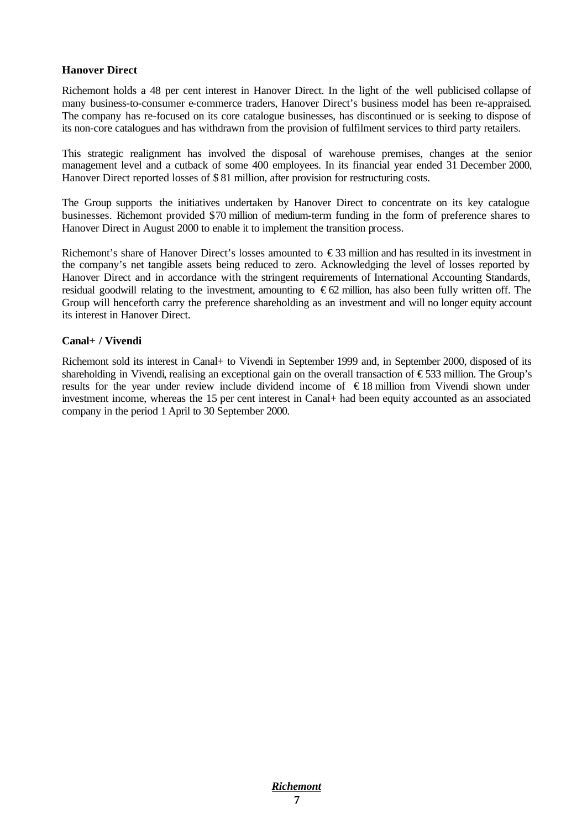## **Hanover Direct**

Richemont holds a 48 per cent interest in Hanover Direct. In the light of the well publicised collapse of many business-to-consumer e-commerce traders, Hanover Direct's business model has been re-appraised. The company has re-focused on its core catalogue businesses, has discontinued or is seeking to dispose of its non-core catalogues and has withdrawn from the provision of fulfilment services to third party retailers.

This strategic realignment has involved the disposal of warehouse premises, changes at the senior management level and a cutback of some 400 employees. In its financial year ended 31 December 2000, Hanover Direct reported losses of \$ 81 million, after provision for restructuring costs.

The Group supports the initiatives undertaken by Hanover Direct to concentrate on its key catalogue businesses. Richemont provided \$70 million of medium-term funding in the form of preference shares to Hanover Direct in August 2000 to enable it to implement the transition process.

Richemont's share of Hanover Direct's losses amounted to  $\epsilon$ 33 million and has resulted in its investment in the company's net tangible assets being reduced to zero. Acknowledging the level of losses reported by Hanover Direct and in accordance with the stringent requirements of International Accounting Standards, residual goodwill relating to the investment, amounting to  $\epsilon$ 62 million, has also been fully written off. The Group will henceforth carry the preference shareholding as an investment and will no longer equity account its interest in Hanover Direct.

#### **Canal+ / Vivendi**

Richemont sold its interest in Canal+ to Vivendi in September 1999 and, in September 2000, disposed of its shareholding in Vivendi, realising an exceptional gain on the overall transaction of  $\epsilon$ 533 million. The Group's results for the year under review include dividend income of € 18 million from Vivendi shown under investment income, whereas the 15 per cent interest in Canal+ had been equity accounted as an associated company in the period 1 April to 30 September 2000.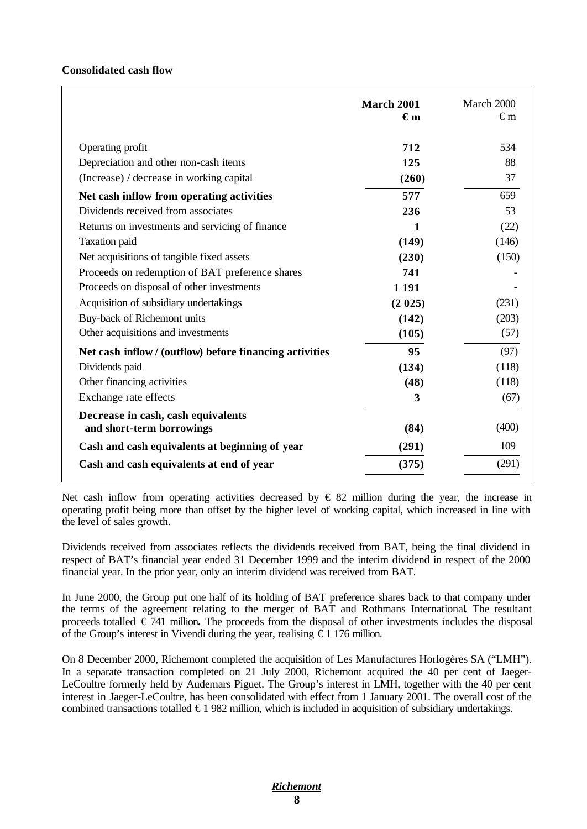# **Consolidated cash flow**

|                                                                 | <b>March 2001</b><br>€m | March 2000<br>€m |
|-----------------------------------------------------------------|-------------------------|------------------|
| Operating profit                                                | 712                     | 534              |
| Depreciation and other non-cash items                           | 125                     | 88               |
| (Increase) / decrease in working capital                        | (260)                   | 37               |
| Net cash inflow from operating activities                       | 577                     | 659              |
| Dividends received from associates                              | 236                     | 53               |
| Returns on investments and servicing of finance                 | 1                       | (22)             |
| <b>Taxation</b> paid                                            | (149)                   | (146)            |
| Net acquisitions of tangible fixed assets                       | (230)                   | (150)            |
| Proceeds on redemption of BAT preference shares                 | 741                     |                  |
| Proceeds on disposal of other investments                       | 1 1 9 1                 |                  |
| Acquisition of subsidiary undertakings                          | (2 025)                 | (231)            |
| Buy-back of Richemont units                                     | (142)                   | (203)            |
| Other acquisitions and investments                              | (105)                   | (57)             |
| Net cash inflow/ (outflow) before financing activities          | 95                      | (97)             |
| Dividends paid                                                  | (134)                   | (118)            |
| Other financing activities                                      | (48)                    | (118)            |
| Exchange rate effects                                           | 3                       | (67)             |
| Decrease in cash, cash equivalents<br>and short-term borrowings | (84)                    | (400)            |
| Cash and cash equivalents at beginning of year                  | (291)                   | 109              |
| Cash and cash equivalents at end of year                        | (375)                   | (291)            |

Net cash inflow from operating activities decreased by  $\epsilon$  82 million during the year, the increase in operating profit being more than offset by the higher level of working capital, which increased in line with the level of sales growth.

Dividends received from associates reflects the dividends received from BAT, being the final dividend in respect of BAT's financial year ended 31 December 1999 and the interim dividend in respect of the 2000 financial year. In the prior year, only an interim dividend was received from BAT.

In June 2000, the Group put one half of its holding of BAT preference shares back to that company under the terms of the agreement relating to the merger of BAT and Rothmans International. The resultant proceeds totalled € 741 million**.** The proceeds from the disposal of other investments includes the disposal of the Group's interest in Vivendi during the year, realising  $\epsilon$  1 176 million.

On 8 December 2000, Richemont completed the acquisition of Les Manufactures Horlogères SA ("LMH"). In a separate transaction completed on 21 July 2000, Richemont acquired the 40 per cent of Jaeger-LeCoultre formerly held by Audemars Piguet. The Group's interest in LMH, together with the 40 per cent interest in Jaeger-LeCoultre, has been consolidated with effect from 1 January 2001. The overall cost of the combined transactions totalled  $\epsilon$ 1 982 million, which is included in acquisition of subsidiary undertakings.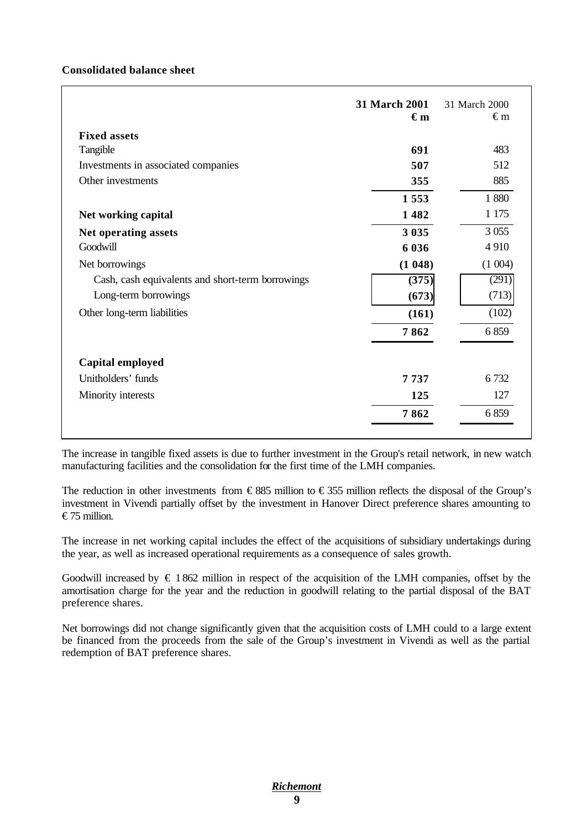# **Consolidated balance sheet**

|                                                  | <b>31 March 2001</b><br>$\epsilon_{m}$ | 31 March 2000<br>€m |
|--------------------------------------------------|----------------------------------------|---------------------|
| <b>Fixed assets</b>                              |                                        |                     |
| Tangible                                         | 691                                    | 483                 |
| Investments in associated companies              | 507                                    | 512                 |
| Other investments                                | 355                                    | 885                 |
|                                                  | 1553                                   | 1880                |
| Net working capital                              | 1482                                   | 1 1 7 5             |
| Net operating assets                             | 3 0 3 5                                | 3 0 5 5             |
| Goodwill                                         | 6 0 3 6                                | 4910                |
| Net borrowings                                   | (1048)                                 | (1004)              |
| Cash, cash equivalents and short-term borrowings | (375)                                  | (291)               |
| Long-term borrowings                             | (673)                                  | (713)               |
| Other long-term liabilities                      | (161)                                  | (102)               |
|                                                  | 7862                                   | 6859                |
| Capital employed                                 |                                        |                     |
| Unitholders' funds                               | 7737                                   | 6 7 3 2             |
| Minority interests                               | 125                                    | 127                 |
|                                                  | 7862                                   | 6859                |

The increase in tangible fixed assets is due to further investment in the Group's retail network, in new watch manufacturing facilities and the consolidation for the first time of the LMH companies.

The reduction in other investments from  $\epsilon$ 885 million to  $\epsilon$ 355 million reflects the disposal of the Group's investment in Vivendi partially offset by the investment in Hanover Direct preference shares amounting to € 75 million.

The increase in net working capital includes the effect of the acquisitions of subsidiary undertakings during the year, as well as increased operational requirements as a consequence of sales growth.

Goodwill increased by  $\epsilon$  1 862 million in respect of the acquisition of the LMH companies, offset by the amortisation charge for the year and the reduction in goodwill relating to the partial disposal of the BAT preference shares.

Net borrowings did not change significantly given that the acquisition costs of LMH could to a large extent be financed from the proceeds from the sale of the Group's investment in Vivendi as well as the partial redemption of BAT preference shares.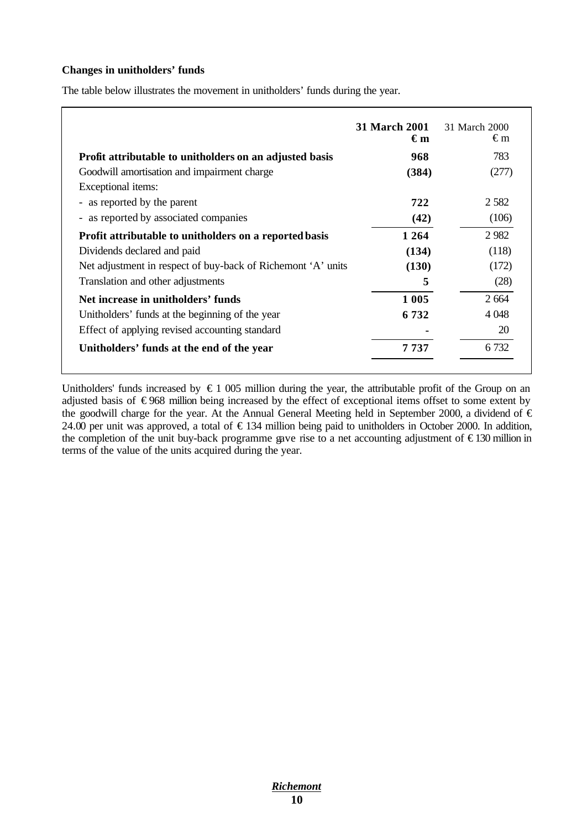# **Changes in unitholders' funds**

The table below illustrates the movement in unitholders' funds during the year.

|                                                              | <b>31 March 2001</b><br>€m | 31 March 2000<br>€m |
|--------------------------------------------------------------|----------------------------|---------------------|
| Profit attributable to unitholders on an adjusted basis      | 968                        | 783                 |
| Goodwill amortisation and impairment charge                  | (384)                      | (277)               |
| Exceptional items:                                           |                            |                     |
| - as reported by the parent                                  | 722                        | 2 5 8 2             |
| - as reported by associated companies                        | (42)                       | (106)               |
| Profit attributable to unitholders on a reported basis       | 1 2 6 4                    | 2982                |
| Dividends declared and paid                                  | (134)                      | (118)               |
| Net adjustment in respect of buy-back of Richemont 'A' units | (130)                      | (172)               |
| Translation and other adjustments                            | 5                          | (28)                |
| Net increase in unitholders' funds                           | 1 0 0 5                    | 2 6 6 4             |
| Unitholders' funds at the beginning of the year              | 6 7 3 2                    | 4 0 4 8             |
| Effect of applying revised accounting standard               |                            | 20                  |
| Unitholders' funds at the end of the year                    | 7 737                      | 6 732               |

Unitholders' funds increased by  $\epsilon$  1 005 million during the year, the attributable profit of the Group on an adjusted basis of €968 million being increased by the effect of exceptional items offset to some extent by the goodwill charge for the year. At the Annual General Meeting held in September 2000, a dividend of  $\epsilon$ 24.00 per unit was approved, a total of  $\epsilon$ 134 million being paid to unitholders in October 2000. In addition, the completion of the unit buy-back programme gave rise to a net accounting adjustment of  $\epsilon$ 130 million in terms of the value of the units acquired during the year.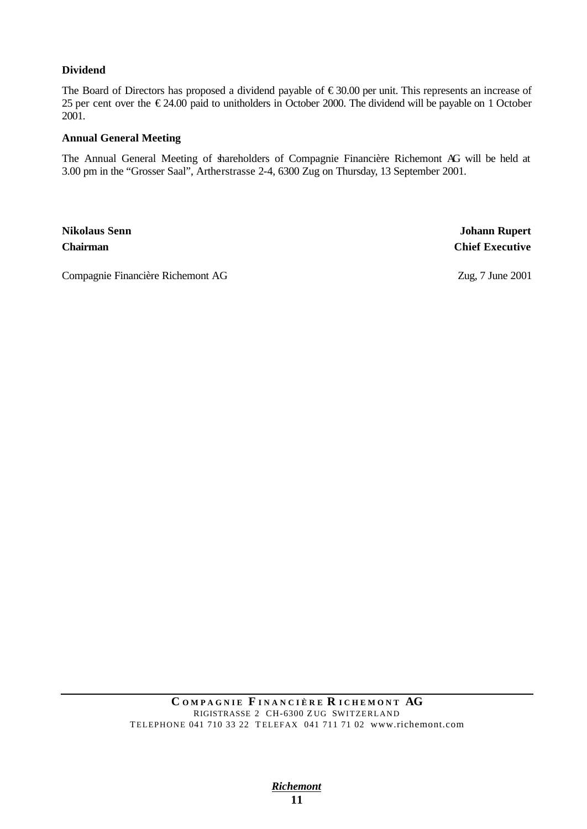# **Dividend**

The Board of Directors has proposed a dividend payable of €30.00 per unit. This represents an increase of 25 per cent over the  $\epsilon$ 24.00 paid to unitholders in October 2000. The dividend will be payable on 1 October 2001.

## **Annual General Meeting**

The Annual General Meeting of shareholders of Compagnie Financière Richemont AG will be held at 3.00 pm in the "Grosser Saal", Artherstrasse 2-4, 6300 Zug on Thursday, 13 September 2001.

**Nikolaus Senn Johann Rupert Chairman Chief Executive**

Compagnie Financière Richemont AG Zug, 7 June 2001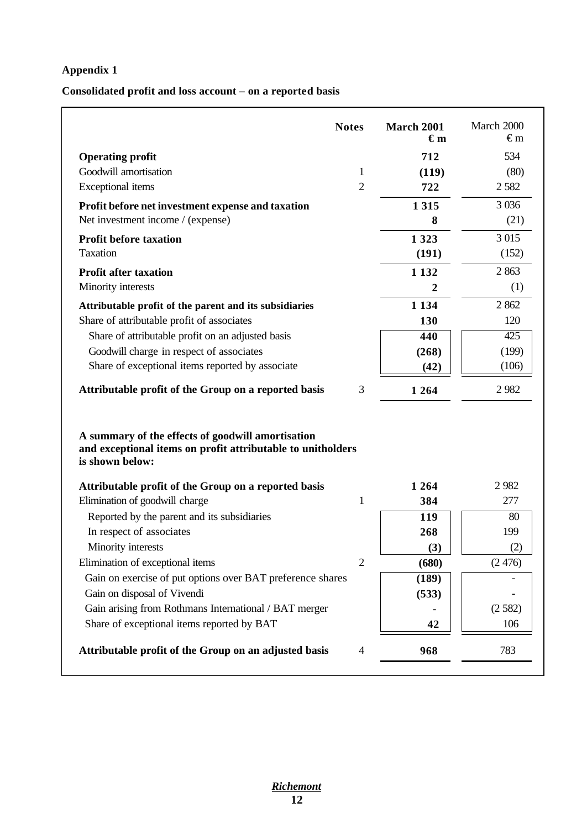# **Appendix 1**

# **Consolidated profit and loss account – on a reported basis**

| <b>Notes</b>                                                                                                                        |                | <b>March 2001</b><br>€m | March 2000<br>€m |
|-------------------------------------------------------------------------------------------------------------------------------------|----------------|-------------------------|------------------|
| <b>Operating profit</b>                                                                                                             |                | 712                     | 534              |
| Goodwill amortisation                                                                                                               | 1              | (119)                   | (80)             |
| <b>Exceptional</b> items                                                                                                            | $\overline{2}$ | 722                     | 2582             |
| Profit before net investment expense and taxation                                                                                   |                | 1 3 1 5                 | 3 0 3 6          |
| Net investment income / (expense)                                                                                                   |                | 8                       | (21)             |
| <b>Profit before taxation</b>                                                                                                       |                | 1 3 2 3                 | 3 0 15           |
| Taxation                                                                                                                            |                | (191)                   | (152)            |
| <b>Profit after taxation</b>                                                                                                        |                | 1 1 3 2                 | 2863             |
| Minority interests                                                                                                                  |                | 2                       | (1)              |
| Attributable profit of the parent and its subsidiaries                                                                              |                | 1 1 3 4                 | 2 8 6 2          |
| Share of attributable profit of associates                                                                                          |                | 130                     | 120              |
| Share of attributable profit on an adjusted basis                                                                                   |                | 440                     | 425              |
| Goodwill charge in respect of associates                                                                                            |                | (268)                   | (199)            |
| Share of exceptional items reported by associate                                                                                    |                | (42)                    | (106)            |
| Attributable profit of the Group on a reported basis                                                                                | 3              | 1 2 6 4                 | 2982             |
| A summary of the effects of goodwill amortisation<br>and exceptional items on profit attributable to unitholders<br>is shown below: |                |                         |                  |
| Attributable profit of the Group on a reported basis                                                                                |                | 1 2 6 4                 | 2982             |
| Elimination of goodwill charge                                                                                                      | 1              | 384                     | 277              |
| Reported by the parent and its subsidiaries                                                                                         |                | 119                     | 80               |
| In respect of associates                                                                                                            |                | 268                     | 199              |
| Minority interests                                                                                                                  |                | (3)                     | (2)              |
| Elimination of exceptional items                                                                                                    | $\overline{2}$ | (680)                   | (2476)           |
| Gain on exercise of put options over BAT preference shares                                                                          |                | (189)                   |                  |
| Gain on disposal of Vivendi                                                                                                         |                | (533)                   |                  |
| Gain arising from Rothmans International / BAT merger                                                                               |                |                         | (2582)           |
| Share of exceptional items reported by BAT                                                                                          |                | 42                      | 106              |
| Attributable profit of the Group on an adjusted basis                                                                               | $\overline{4}$ | 968                     | 783              |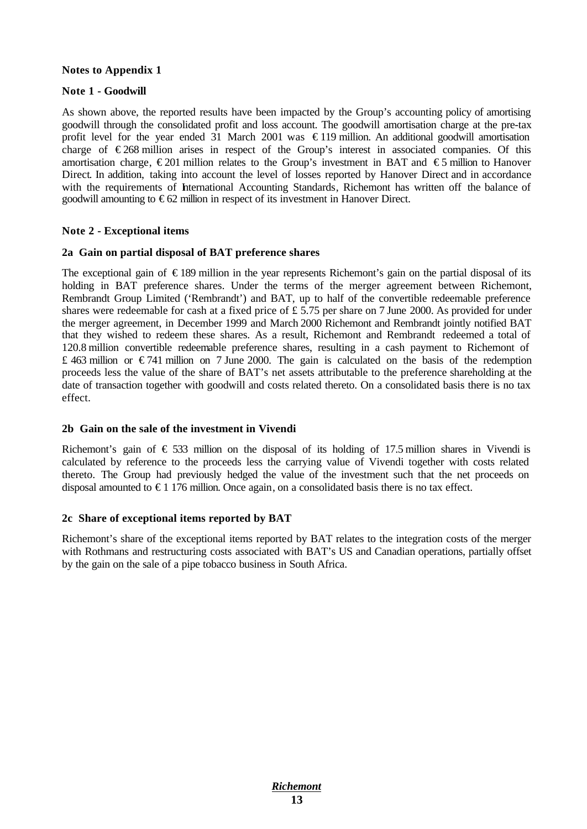## **Notes to Appendix 1**

# **Note 1 - Goodwill**

As shown above, the reported results have been impacted by the Group's accounting policy of amortising goodwill through the consolidated profit and loss account. The goodwill amortisation charge at the pre-tax profit level for the year ended 31 March 2001 was  $\epsilon$ 119 million. An additional goodwill amortisation charge of  $\epsilon$ 268 million arises in respect of the Group's interest in associated companies. Of this amortisation charge,  $\epsilon$ 201 million relates to the Group's investment in BAT and  $\epsilon$ 5 million to Hanover Direct. In addition, taking into account the level of losses reported by Hanover Direct and in accordance with the requirements of International Accounting Standards, Richemont has written off the balance of goodwill amounting to  $\epsilon$ 62 million in respect of its investment in Hanover Direct.

## **Note 2 - Exceptional items**

#### **2a Gain on partial disposal of BAT preference shares**

The exceptional gain of  $\epsilon$ 189 million in the year represents Richemont's gain on the partial disposal of its holding in BAT preference shares. Under the terms of the merger agreement between Richemont, Rembrandt Group Limited ('Rembrandt') and BAT, up to half of the convertible redeemable preference shares were redeemable for cash at a fixed price of £ 5.75 per share on 7 June 2000. As provided for under the merger agreement, in December 1999 and March 2000 Richemont and Rembrandt jointly notified BAT that they wished to redeem these shares. As a result, Richemont and Rembrandt redeemed a total of 120.8 million convertible redeemable preference shares, resulting in a cash payment to Richemont of £ 463 million or  $\epsilon$ 741 million on 7 June 2000. The gain is calculated on the basis of the redemption proceeds less the value of the share of BAT's net assets attributable to the preference shareholding at the date of transaction together with goodwill and costs related thereto. On a consolidated basis there is no tax effect.

#### **2b Gain on the sale of the investment in Vivendi**

Richemont's gain of  $\epsilon$  533 million on the disposal of its holding of 17.5 million shares in Vivendi is calculated by reference to the proceeds less the carrying value of Vivendi together with costs related thereto. The Group had previously hedged the value of the investment such that the net proceeds on disposal amounted to  $\epsilon$ 1 176 million. Once again, on a consolidated basis there is no tax effect.

#### **2c Share of exceptional items reported by BAT**

Richemont's share of the exceptional items reported by BAT relates to the integration costs of the merger with Rothmans and restructuring costs associated with BAT's US and Canadian operations, partially offset by the gain on the sale of a pipe tobacco business in South Africa.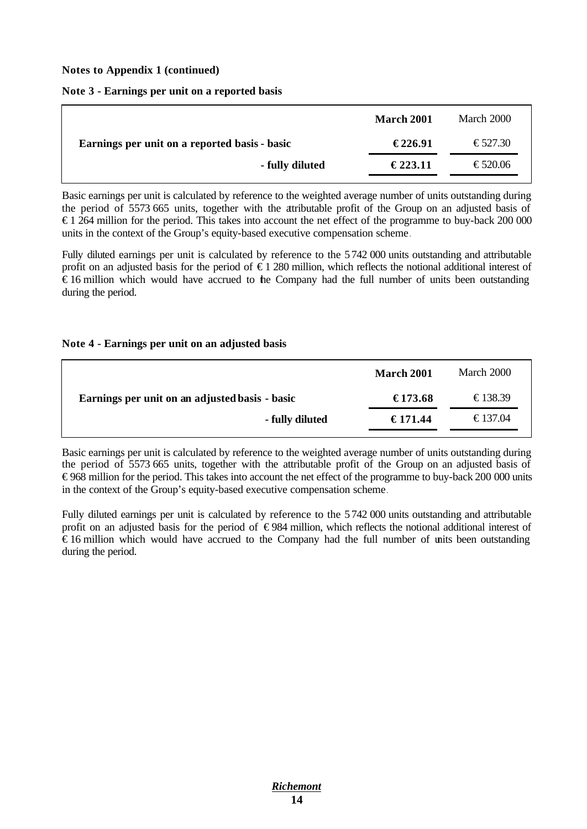**Notes to Appendix 1 (continued)**

|  | Note 3 - Earnings per unit on a reported basis |  |  |  |  |
|--|------------------------------------------------|--|--|--|--|
|--|------------------------------------------------|--|--|--|--|

|                                               | <b>March 2001</b> | March 2000 |
|-----------------------------------------------|-------------------|------------|
| Earnings per unit on a reported basis - basic | €226.91           | €527.30    |
| - fully diluted                               | €223.11           | €520.06    |

Basic earnings per unit is calculated by reference to the weighted average number of units outstanding during the period of 5573 665 units, together with the attributable profit of the Group on an adjusted basis of  $\epsilon$  1 264 million for the period. This takes into account the net effect of the programme to buy-back 200 000 units in the context of the Group's equity-based executive compensation scheme.

Fully diluted earnings per unit is calculated by reference to the 5742 000 units outstanding and attributable profit on an adjusted basis for the period of € 1 280 million, which reflects the notional additional interest of € 16 million which would have accrued to the Company had the full number of units been outstanding during the period.

# **Note 4 - Earnings per unit on an adjusted basis**

|                                                | <b>March 2001</b> | March 2000 |
|------------------------------------------------|-------------------|------------|
| Earnings per unit on an adjusted basis - basic | €173.68           | €138.39    |
| - fully diluted                                | €171.44           | €137.04    |

Basic earnings per unit is calculated by reference to the weighted average number of units outstanding during the period of 5573 665 units, together with the attributable profit of the Group on an adjusted basis of € 968 million for the period. This takes into account the net effect of the programme to buy-back 200 000 units in the context of the Group's equity-based executive compensation scheme.

Fully diluted earnings per unit is calculated by reference to the 5 742 000 units outstanding and attributable profit on an adjusted basis for the period of  $\epsilon$ 984 million, which reflects the notional additional interest of € 16 million which would have accrued to the Company had the full number of units been outstanding during the period.